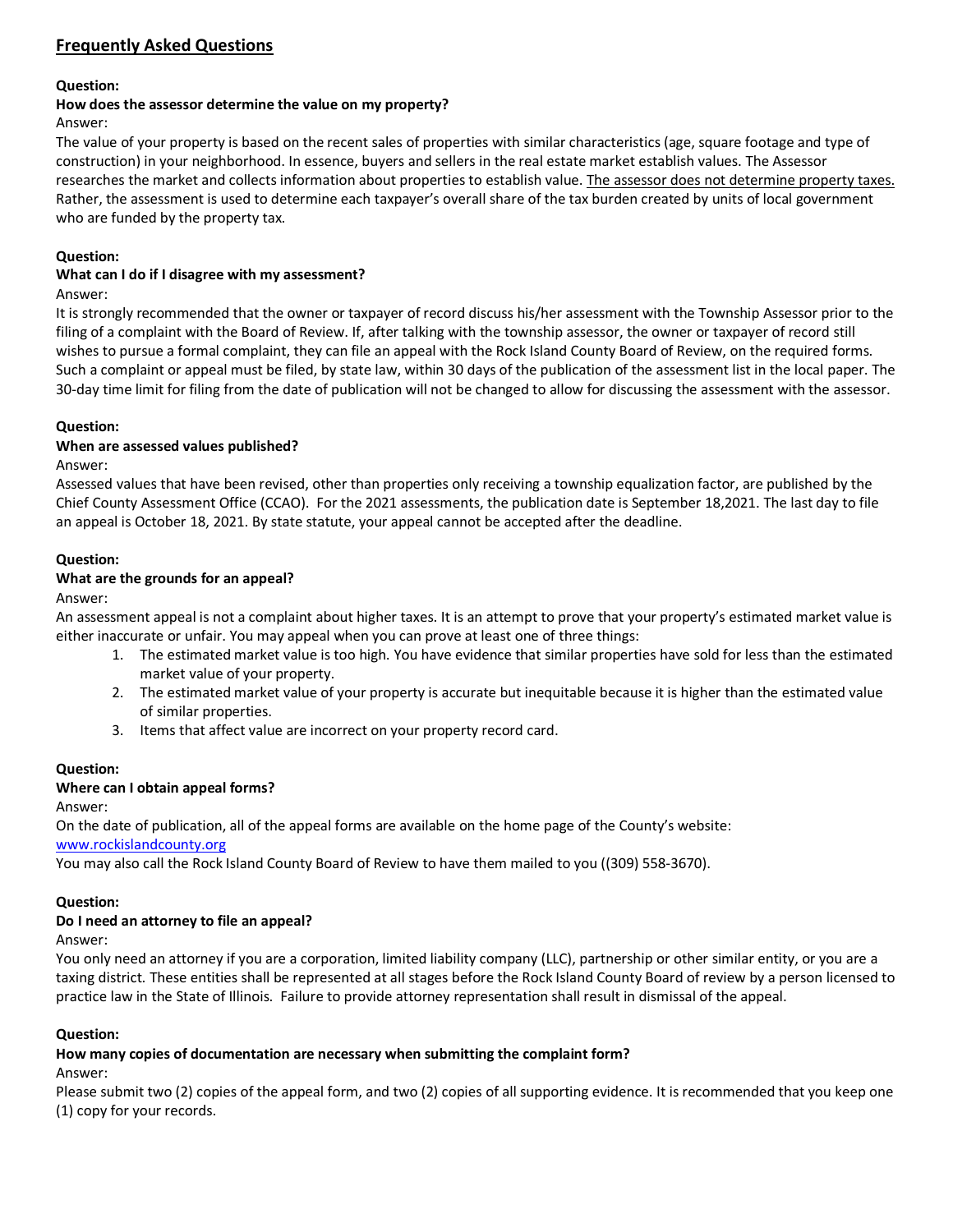# **Frequently Asked Questions**

#### **Question:**

#### **How does the assessor determine the value on my property?**

### Answer:

The value of your property is based on the recent sales of properties with similar characteristics (age, square footage and type of construction) in your neighborhood. In essence, buyers and sellers in the real estate market establish values. The Assessor researches the market and collects information about properties to establish value. The assessor does not determine property taxes. Rather, the assessment is used to determine each taxpayer's overall share of the tax burden created by units of local government who are funded by the property tax.

### **Question:**

### **What can I do if I disagree with my assessment?**

#### Answer:

It is strongly recommended that the owner or taxpayer of record discuss his/her assessment with the Township Assessor prior to the filing of a complaint with the Board of Review. If, after talking with the township assessor, the owner or taxpayer of record still wishes to pursue a formal complaint, they can file an appeal with the Rock Island County Board of Review, on the required forms. Such a complaint or appeal must be filed, by state law, within 30 days of the publication of the assessment list in the local paper. The 30-day time limit for filing from the date of publication will not be changed to allow for discussing the assessment with the assessor.

### **Question:**

### **When are assessed values published?**

Answer:

Assessed values that have been revised, other than properties only receiving a township equalization factor, are published by the Chief County Assessment Office (CCAO). For the 2021 assessments, the publication date is September 18,2021. The last day to file an appeal is October 18, 2021. By state statute, your appeal cannot be accepted after the deadline.

### **Question:**

### **What are the grounds for an appeal?**

Answer:

An assessment appeal is not a complaint about higher taxes. It is an attempt to prove that your property's estimated market value is either inaccurate or unfair. You may appeal when you can prove at least one of three things:

- 1. The estimated market value is too high. You have evidence that similar properties have sold for less than the estimated market value of your property.
- 2. The estimated market value of your property is accurate but inequitable because it is higher than the estimated value of similar properties.
- 3. Items that affect value are incorrect on your property record card.

### **Question:**

### **Where can I obtain appeal forms?**

Answer:

On the date of publication, all of the appeal forms are available on the home page of the County's website:

www.rockislandcounty.org

You may also call the Rock Island County Board of Review to have them mailed to you ((309) 558-3670).

# **Question:**

# **Do I need an attorney to file an appeal?**

Answer:

You only need an attorney if you are a corporation, limited liability company (LLC), partnership or other similar entity, or you are a taxing district. These entities shall be represented at all stages before the Rock Island County Board of review by a person licensed to practice law in the State of Illinois. Failure to provide attorney representation shall result in dismissal of the appeal.

### **Question:**

#### **How many copies of documentation are necessary when submitting the complaint form?** Answer:

Please submit two (2) copies of the appeal form, and two (2) copies of all supporting evidence. It is recommended that you keep one (1) copy for your records.